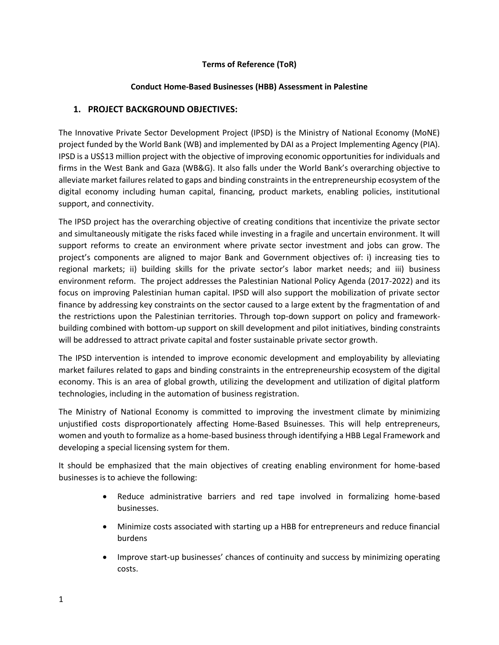# **Terms of Reference (ToR)**

### **Conduct Home-Based Businesses (HBB) Assessment in Palestine**

# **1. PROJECT BACKGROUND OBJECTIVES:**

The Innovative Private Sector Development Project (IPSD) is the Ministry of National Economy (MoNE) project funded by the World Bank (WB) and implemented by DAI as a Project Implementing Agency (PIA). IPSD is a US\$13 million project with the objective of improving economic opportunities for individuals and firms in the West Bank and Gaza (WB&G). It also falls under the World Bank's overarching objective to alleviate market failures related to gaps and binding constraints in the entrepreneurship ecosystem of the digital economy including human capital, financing, product markets, enabling policies, institutional support, and connectivity.

The IPSD project has the overarching objective of creating conditions that incentivize the private sector and simultaneously mitigate the risks faced while investing in a fragile and uncertain environment. It will support reforms to create an environment where private sector investment and jobs can grow. The project's components are aligned to major Bank and Government objectives of: i) increasing ties to regional markets; ii) building skills for the private sector's labor market needs; and iii) business environment reform. The project addresses the Palestinian National Policy Agenda (2017-2022) and its focus on improving Palestinian human capital. IPSD will also support the mobilization of private sector finance by addressing key constraints on the sector caused to a large extent by the fragmentation of and the restrictions upon the Palestinian territories. Through top-down support on policy and frameworkbuilding combined with bottom-up support on skill development and pilot initiatives, binding constraints will be addressed to attract private capital and foster sustainable private sector growth.

The IPSD intervention is intended to improve economic development and employability by alleviating market failures related to gaps and binding constraints in the entrepreneurship ecosystem of the digital economy. This is an area of global growth, utilizing the development and utilization of digital platform technologies, including in the automation of business registration.

The Ministry of National Economy is committed to improving the investment climate by minimizing unjustified costs disproportionately affecting Home-Based Bsuinesses. This will help entrepreneurs, women and youth to formalize as a home-based business through identifying a HBB Legal Framework and developing a special licensing system for them.

It should be emphasized that the main objectives of creating enabling environment for home-based businesses is to achieve the following:

- Reduce administrative barriers and red tape involved in formalizing home-based businesses.
- Minimize costs associated with starting up a HBB for entrepreneurs and reduce financial burdens
- Improve start-up businesses' chances of continuity and success by minimizing operating costs.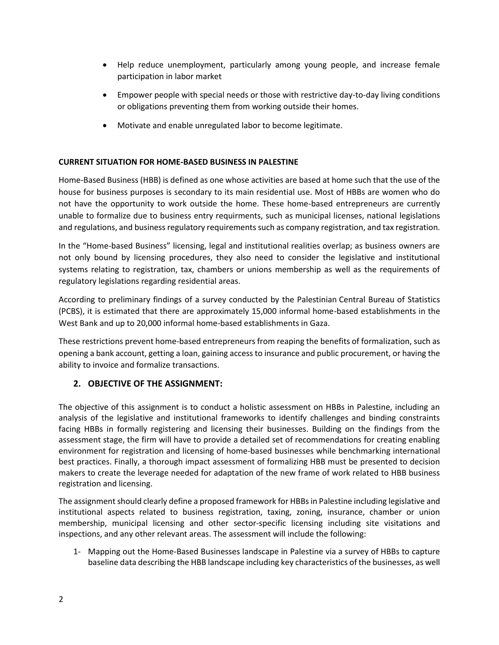- Help reduce unemployment, particularly among young people, and increase female participation in labor market
- Empower people with special needs or those with restrictive day-to-day living conditions or obligations preventing them from working outside their homes.
- Motivate and enable unregulated labor to become legitimate.

### **CURRENT SITUATION FOR HOME-BASED BUSINESS IN PALESTINE**

Home-Based Business (HBB) is defined as one whose activities are based at home such that the use of the house for business purposes is secondary to its main residential use. Most of HBBs are women who do not have the opportunity to work outside the home. These home-based entrepreneurs are currently unable to formalize due to business entry requirments, such as municipal licenses, national legislations and regulations, and business regulatory requirements such as company registration, and tax registration.

In the "Home-based Business" licensing, legal and institutional realities overlap; as business owners are not only bound by licensing procedures, they also need to consider the legislative and institutional systems relating to registration, tax, chambers or unions membership as well as the requirements of regulatory legislations regarding residential areas.

According to preliminary findings of a survey conducted by the Palestinian Central Bureau of Statistics (PCBS), it is estimated that there are approximately 15,000 informal home-based establishments in the West Bank and up to 20,000 informal home-based establishments in Gaza.

These restrictions prevent home-based entrepreneurs from reaping the benefits of formalization, such as opening a bank account, getting a loan, gaining access to insurance and public procurement, or having the ability to invoice and formalize transactions.

# **2. OBJECTIVE OF THE ASSIGNMENT:**

The objective of this assignment is to conduct a holistic assessment on HBBs in Palestine, including an analysis of the legislative and institutional frameworks to identify challenges and binding constraints facing HBBs in formally registering and licensing their businesses. Building on the findings from the assessment stage, the firm will have to provide a detailed set of recommendations for creating enabling environment for registration and licensing of home-based businesses while benchmarking international best practices. Finally, a thorough impact assessment of formalizing HBB must be presented to decision makers to create the leverage needed for adaptation of the new frame of work related to HBB business registration and licensing.

The assignment should clearly define a proposed framework for HBBs in Palestine including legislative and institutional aspects related to business registration, taxing, zoning, insurance, chamber or union membership, municipal licensing and other sector-specific licensing including site visitations and inspections, and any other relevant areas. The assessment will include the following:

1- Mapping out the Home-Based Businesses landscape in Palestine via a survey of HBBs to capture baseline data describing the HBB landscape including key characteristics of the businesses, as well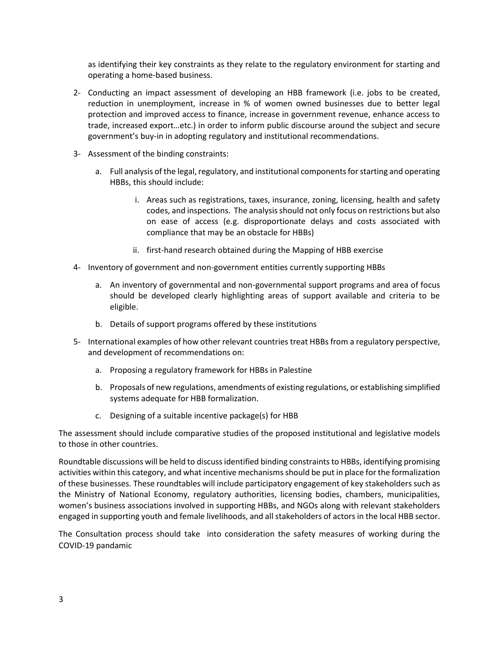as identifying their key constraints as they relate to the regulatory environment for starting and operating a home-based business.

- 2- Conducting an impact assessment of developing an HBB framework (i.e. jobs to be created, reduction in unemployment, increase in % of women owned businesses due to better legal protection and improved access to finance, increase in government revenue, enhance access to trade, increased export…etc.) in order to inform public discourse around the subject and secure government's buy-in in adopting regulatory and institutional recommendations.
- 3- Assessment of the binding constraints:
	- a. Full analysis of the legal, regulatory, and institutional components for starting and operating HBBs, this should include:
		- i. Areas such as registrations, taxes, insurance, zoning, licensing, health and safety codes, and inspections. The analysis should not only focus on restrictions but also on ease of access (e.g. disproportionate delays and costs associated with compliance that may be an obstacle for HBBs)
		- ii. first-hand research obtained during the Mapping of HBB exercise
- 4- Inventory of government and non-government entities currently supporting HBBs
	- a. An inventory of governmental and non-governmental support programs and area of focus should be developed clearly highlighting areas of support available and criteria to be eligible.
	- b. Details of support programs offered by these institutions
- 5- International examples of how other relevant countries treat HBBs from a regulatory perspective, and development of recommendations on:
	- a. Proposing a regulatory framework for HBBs in Palestine
	- b. Proposals of new regulations, amendments of existing regulations, or establishing simplified systems adequate for HBB formalization.
	- c. Designing of a suitable incentive package(s) for HBB

The assessment should include comparative studies of the proposed institutional and legislative models to those in other countries.

Roundtable discussions will be held to discuss identified binding constraints to HBBs, identifying promising activities within this category, and what incentive mechanismsshould be put in place for the formalization of these businesses. These roundtables will include participatory engagement of key stakeholders such as the Ministry of National Economy, regulatory authorities, licensing bodies, chambers, municipalities, women's business associations involved in supporting HBBs, and NGOs along with relevant stakeholders engaged in supporting youth and female livelihoods, and all stakeholders of actors in the local HBB sector.

The Consultation process should take into consideration the safety measures of working during the COVID-19 pandamic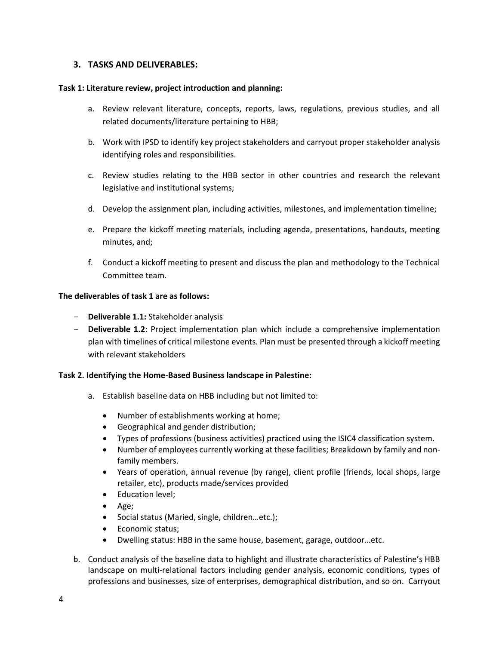### **3. TASKS AND DELIVERABLES:**

#### **Task 1: Literature review, project introduction and planning:**

- a. Review relevant literature, concepts, reports, laws, regulations, previous studies, and all related documents/literature pertaining to HBB;
- b. Work with IPSD to identify key project stakeholders and carryout proper stakeholder analysis identifying roles and responsibilities.
- c. Review studies relating to the HBB sector in other countries and research the relevant legislative and institutional systems;
- d. Develop the assignment plan, including activities, milestones, and implementation timeline;
- e. Prepare the kickoff meeting materials, including agenda, presentations, handouts, meeting minutes, and;
- f. Conduct a kickoff meeting to present and discuss the plan and methodology to the Technical Committee team.

#### **The deliverables of task 1 are as follows:**

- **Deliverable 1.1:** Stakeholder analysis
- **Deliverable 1.2**: Project implementation plan which include a comprehensive implementation plan with timelines of critical milestone events. Plan must be presented through a kickoff meeting with relevant stakeholders

### **Task 2. Identifying the Home-Based Business landscape in Palestine:**

- a. Establish baseline data on HBB including but not limited to:
	- Number of establishments working at home;
	- Geographical and gender distribution;
	- Types of professions (business activities) practiced using the ISIC4 classification system.
	- Number of employees currently working at these facilities; Breakdown by family and nonfamily members.
	- Years of operation, annual revenue (by range), client profile (friends, local shops, large retailer, etc), products made/services provided
	- Education level;
	- Age;
	- Social status (Maried, single, children...etc.);
	- Economic status;
	- Dwelling status: HBB in the same house, basement, garage, outdoor…etc.
- b. Conduct analysis of the baseline data to highlight and illustrate characteristics of Palestine's HBB landscape on multi-relational factors including gender analysis, economic conditions, types of professions and businesses, size of enterprises, demographical distribution, and so on. Carryout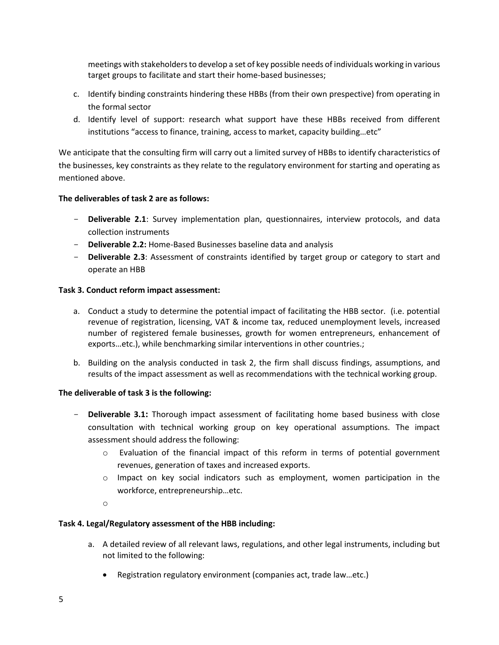meetings with stakeholders to develop a set of key possible needs of individuals working in various target groups to facilitate and start their home-based businesses;

- c. Identify binding constraints hindering these HBBs (from their own prespective) from operating in the formal sector
- d. Identify level of support: research what support have these HBBs received from different institutions "access to finance, training, access to market, capacity building…etc"

We anticipate that the consulting firm will carry out a limited survey of HBBs to identify characteristics of the businesses, key constraints as they relate to the regulatory environment for starting and operating as mentioned above.

### **The deliverables of task 2 are as follows:**

- **Deliverable 2.1**: Survey implementation plan, questionnaires, interview protocols, and data collection instruments
- **Deliverable 2.2:** Home-Based Businesses baseline data and analysis
- **Deliverable 2.3**: Assessment of constraints identified by target group or category to start and operate an HBB

### **Task 3. Conduct reform impact assessment:**

- a. Conduct a study to determine the potential impact of facilitating the HBB sector. (i.e. potential revenue of registration, licensing, VAT & income tax, reduced unemployment levels, increased number of registered female businesses, growth for women entrepreneurs, enhancement of exports…etc.), while benchmarking similar interventions in other countries.;
- b. Building on the analysis conducted in task 2, the firm shall discuss findings, assumptions, and results of the impact assessment as well as recommendations with the technical working group.

# **The deliverable of task 3 is the following:**

- **Deliverable 3.1:** Thorough impact assessment of facilitating home based business with close consultation with technical working group on key operational assumptions. The impact assessment should address the following:
	- o Evaluation of the financial impact of this reform in terms of potential government revenues, generation of taxes and increased exports.
	- o Impact on key social indicators such as employment, women participation in the workforce, entrepreneurship…etc.
	- o

# **Task 4. Legal/Regulatory assessment of the HBB including:**

- a. A detailed review of all relevant laws, regulations, and other legal instruments, including but not limited to the following:
	- Registration regulatory environment (companies act, trade law…etc.)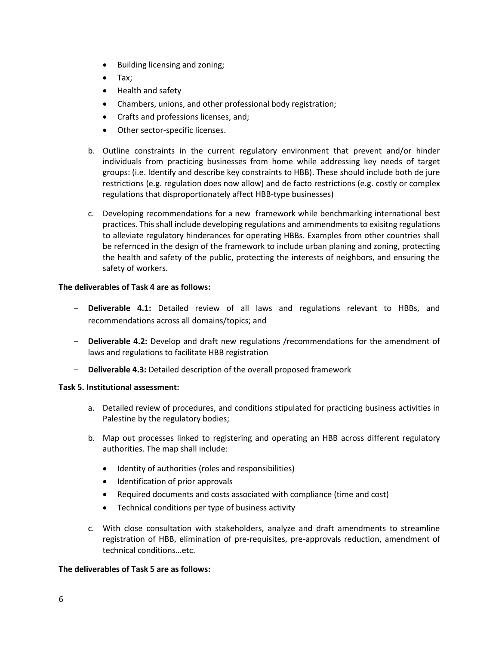- Building licensing and zoning;
- Tax;
- Health and safety
- Chambers, unions, and other professional body registration;
- Crafts and professions licenses, and;
- Other sector-specific licenses.
- b. Outline constraints in the current regulatory environment that prevent and/or hinder individuals from practicing businesses from home while addressing key needs of target groups: (i.e. Identify and describe key constraints to HBB). These should include both de jure restrictions (e.g. regulation does now allow) and de facto restrictions (e.g. costly or complex regulations that disproportionately affect HBB-type businesses)
- c. Developing recommendations for a new framework while benchmarking international best practices. This shall include developing regulations and ammendments to exisitng regulations to alleviate regulatory hinderances for operating HBBs. Examples from other countries shall be refernced in the design of the framework to include urban planing and zoning, protecting the health and safety of the public, protecting the interests of neighbors, and ensuring the safety of workers.

#### **The deliverables of Task 4 are as follows:**

- **Deliverable 4.1:** Detailed review of all laws and regulations relevant to HBBs, and recommendations across all domains/topics; and
- **Deliverable 4.2:** Develop and draft new regulations /recommendations for the amendment of laws and regulations to facilitate HBB registration
- **Deliverable 4.3:** Detailed description of the overall proposed framework

### **Task 5. Institutional assessment:**

- a. Detailed review of procedures, and conditions stipulated for practicing business activities in Palestine by the regulatory bodies;
- b. Map out processes linked to registering and operating an HBB across different regulatory authorities. The map shall include:
	- Identity of authorities (roles and responsibilities)
	- Identification of prior approvals
	- Required documents and costs associated with compliance (time and cost)
	- Technical conditions per type of business activity
- c. With close consultation with stakeholders, analyze and draft amendments to streamline registration of HBB, elimination of pre-requisites, pre-approvals reduction, amendment of technical conditions…etc.

### **The deliverables of Task 5 are as follows:**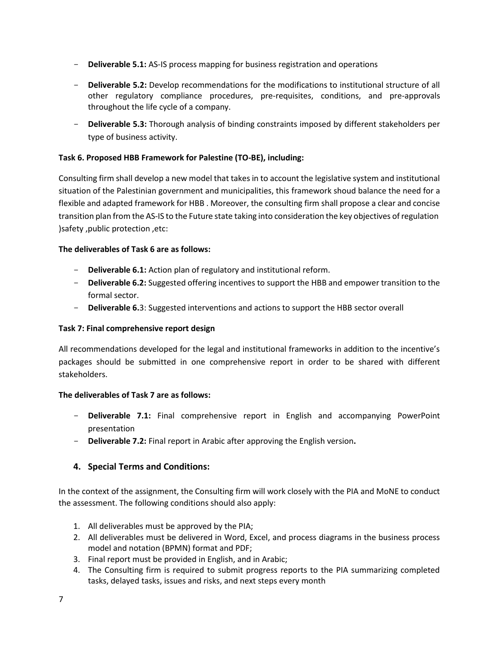- **Deliverable 5.1:** AS-IS process mapping for business registration and operations
- **Deliverable 5.2:** Develop recommendations for the modifications to institutional structure of all other regulatory compliance procedures, pre-requisites, conditions, and pre-approvals throughout the life cycle of a company.
- **Deliverable 5.3:** Thorough analysis of binding constraints imposed by different stakeholders per type of business activity.

# **Task 6. Proposed HBB Framework for Palestine (TO-BE), including:**

Consulting firm shall develop a new model that takes in to account the legislative system and institutional situation of the Palestinian government and municipalities, this framework shoud balance the need for a flexible and adapted framework for HBB . Moreover, the consulting firm shall propose a clear and concise transition plan from the AS-IS to the Future state taking into consideration the key objectives of regulation ) safety , public protection , etc:

# **The deliverables of Task 6 are as follows:**

- **Deliverable 6.1:** Action plan of regulatory and institutional reform.
- **Deliverable 6.2:** Suggested offering incentives to support the HBB and empower transition to the formal sector.
- **Deliverable 6.**3: Suggested interventions and actions to support the HBB sector overall

# **Task 7: Final comprehensive report design**

All recommendations developed for the legal and institutional frameworks in addition to the incentive's packages should be submitted in one comprehensive report in order to be shared with different stakeholders.

# **The deliverables of Task 7 are as follows:**

- **Deliverable 7.1:** Final comprehensive report in English and accompanying PowerPoint presentation
- **Deliverable 7.2:** Final report in Arabic after approving the English version**.**

# **4. Special Terms and Conditions:**

In the context of the assignment, the Consulting firm will work closely with the PIA and MoNE to conduct the assessment. The following conditions should also apply:

- 1. All deliverables must be approved by the PIA;
- 2. All deliverables must be delivered in Word, Excel, and process diagrams in the business process model and notation (BPMN) format and PDF;
- 3. Final report must be provided in English, and in Arabic;
- 4. The Consulting firm is required to submit progress reports to the PIA summarizing completed tasks, delayed tasks, issues and risks, and next steps every month